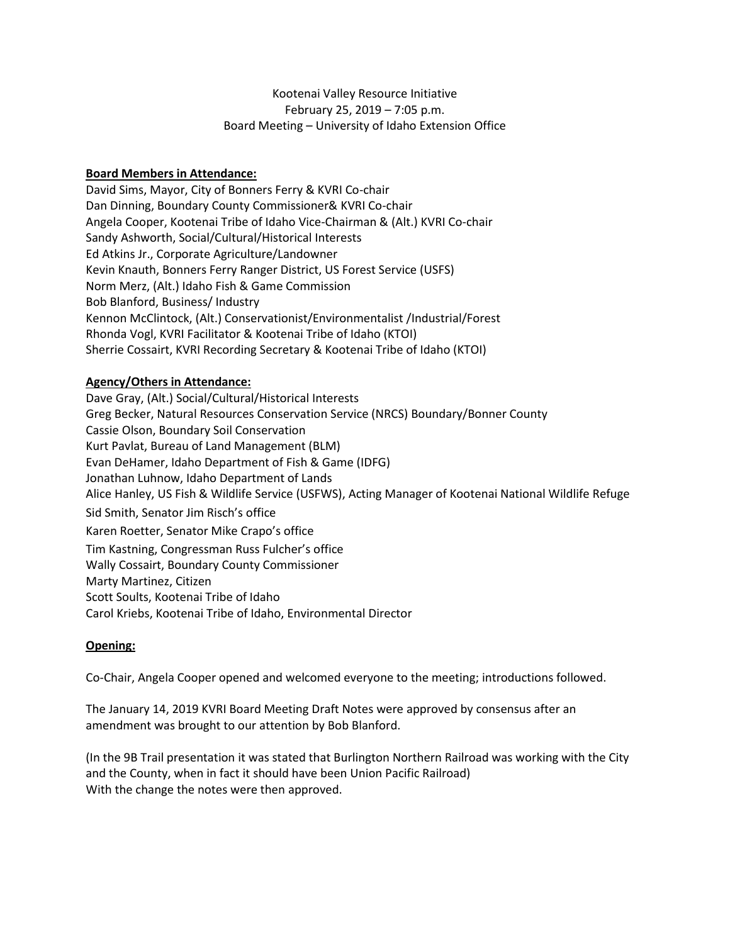# Kootenai Valley Resource Initiative February 25, 2019 – 7:05 p.m. Board Meeting – University of Idaho Extension Office

# **Board Members in Attendance:**

David Sims, Mayor, City of Bonners Ferry & KVRI Co-chair Dan Dinning, Boundary County Commissioner& KVRI Co-chair Angela Cooper, Kootenai Tribe of Idaho Vice-Chairman & (Alt.) KVRI Co-chair Sandy Ashworth, Social/Cultural/Historical Interests Ed Atkins Jr., Corporate Agriculture/Landowner Kevin Knauth, Bonners Ferry Ranger District, US Forest Service (USFS) Norm Merz, (Alt.) Idaho Fish & Game Commission Bob Blanford, Business/ Industry Kennon McClintock, (Alt.) Conservationist/Environmentalist /Industrial/Forest Rhonda Vogl, KVRI Facilitator & Kootenai Tribe of Idaho (KTOI) Sherrie Cossairt, KVRI Recording Secretary & Kootenai Tribe of Idaho (KTOI)

## **Agency/Others in Attendance:**

Dave Gray, (Alt.) Social/Cultural/Historical Interests Greg Becker, Natural Resources Conservation Service (NRCS) Boundary/Bonner County Cassie Olson, Boundary Soil Conservation Kurt Pavlat, Bureau of Land Management (BLM) Evan DeHamer, Idaho Department of Fish & Game (IDFG) Jonathan Luhnow, Idaho Department of Lands Alice Hanley, US Fish & Wildlife Service (USFWS), Acting Manager of Kootenai National Wildlife Refuge Sid Smith, Senator Jim Risch's office Karen Roetter, Senator Mike Crapo's office Tim Kastning, Congressman Russ Fulcher's office Wally Cossairt, Boundary County Commissioner Marty Martinez, Citizen Scott Soults, Kootenai Tribe of Idaho Carol Kriebs, Kootenai Tribe of Idaho, Environmental Director

## **Opening:**

Co-Chair, Angela Cooper opened and welcomed everyone to the meeting; introductions followed.

The January 14, 2019 KVRI Board Meeting Draft Notes were approved by consensus after an amendment was brought to our attention by Bob Blanford.

(In the 9B Trail presentation it was stated that Burlington Northern Railroad was working with the City and the County, when in fact it should have been Union Pacific Railroad) With the change the notes were then approved.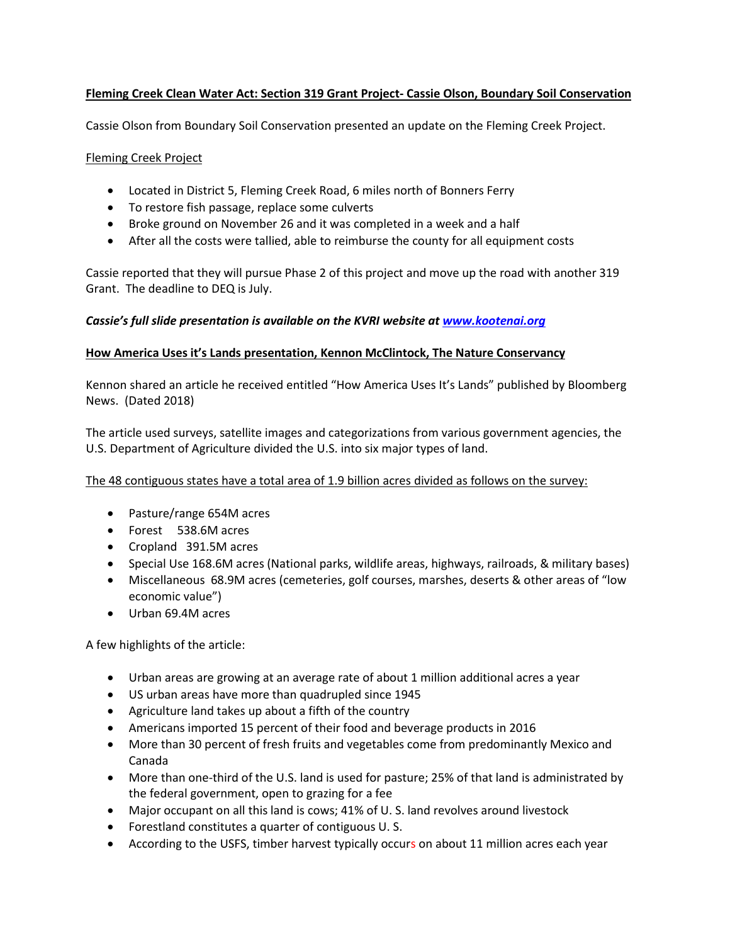# **Fleming Creek Clean Water Act: Section 319 Grant Project- Cassie Olson, Boundary Soil Conservation**

Cassie Olson from Boundary Soil Conservation presented an update on the Fleming Creek Project.

## Fleming Creek Project

- Located in District 5, Fleming Creek Road, 6 miles north of Bonners Ferry
- To restore fish passage, replace some culverts
- Broke ground on November 26 and it was completed in a week and a half
- After all the costs were tallied, able to reimburse the county for all equipment costs

Cassie reported that they will pursue Phase 2 of this project and move up the road with another 319 Grant. The deadline to DEQ is July.

# *Cassie's full slide presentation is available on the KVRI website at [www.kootenai.org](http://www.kootenai.org/)*

## **How America Uses it's Lands presentation, Kennon McClintock, The Nature Conservancy**

Kennon shared an article he received entitled "How America Uses It's Lands" published by Bloomberg News. (Dated 2018)

The article used surveys, satellite images and categorizations from various government agencies, the U.S. Department of Agriculture divided the U.S. into six major types of land.

The 48 contiguous states have a total area of 1.9 billion acres divided as follows on the survey:

- Pasture/range 654M acres
- Forest 538.6M acres
- Cropland 391.5M acres
- Special Use 168.6M acres (National parks, wildlife areas, highways, railroads, & military bases)
- Miscellaneous 68.9M acres (cemeteries, golf courses, marshes, deserts & other areas of "low economic value")
- Urban 69.4M acres

A few highlights of the article:

- Urban areas are growing at an average rate of about 1 million additional acres a year
- US urban areas have more than quadrupled since 1945
- Agriculture land takes up about a fifth of the country
- Americans imported 15 percent of their food and beverage products in 2016
- More than 30 percent of fresh fruits and vegetables come from predominantly Mexico and Canada
- More than one-third of the U.S. land is used for pasture; 25% of that land is administrated by the federal government, open to grazing for a fee
- Major occupant on all this land is cows; 41% of U. S. land revolves around livestock
- Forestland constitutes a quarter of contiguous U. S.
- According to the USFS, timber harvest typically occurs on about 11 million acres each year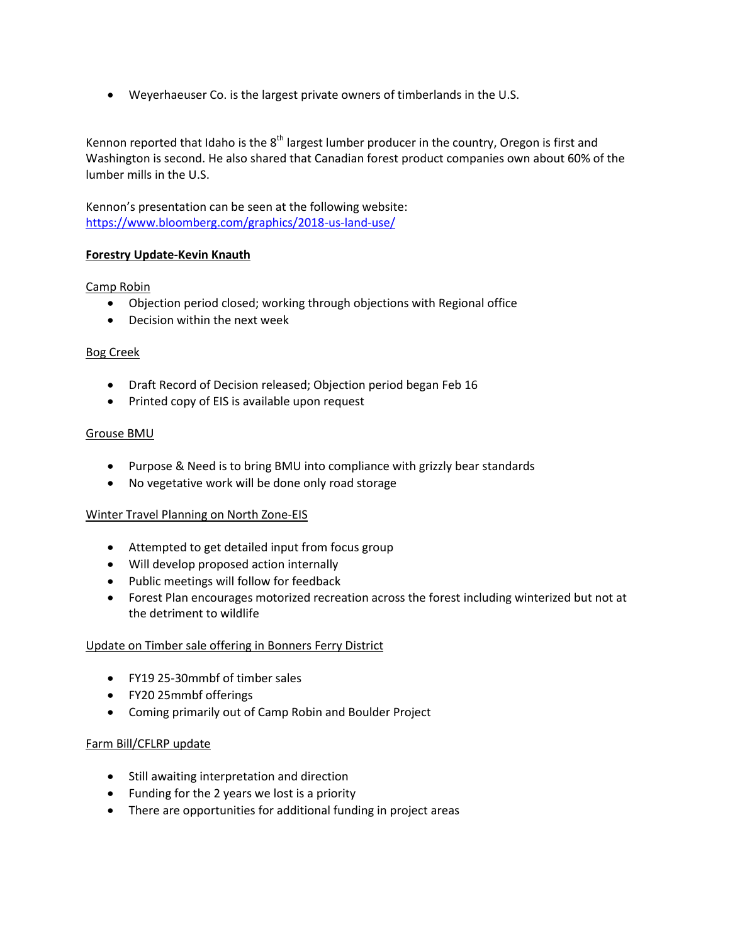Weyerhaeuser Co. is the largest private owners of timberlands in the U.S.

Kennon reported that Idaho is the  $8<sup>th</sup>$  largest lumber producer in the country, Oregon is first and Washington is second. He also shared that Canadian forest product companies own about 60% of the lumber mills in the U.S.

Kennon's presentation can be seen at the following website: <https://www.bloomberg.com/graphics/2018-us-land-use/>

# **Forestry Update-Kevin Knauth**

# Camp Robin

- Objection period closed; working through objections with Regional office
- Decision within the next week

## Bog Creek

- Draft Record of Decision released; Objection period began Feb 16
- Printed copy of EIS is available upon request

#### Grouse BMU

- Purpose & Need is to bring BMU into compliance with grizzly bear standards
- No vegetative work will be done only road storage

## Winter Travel Planning on North Zone-EIS

- Attempted to get detailed input from focus group
- Will develop proposed action internally
- Public meetings will follow for feedback
- Forest Plan encourages motorized recreation across the forest including winterized but not at the detriment to wildlife

## Update on Timber sale offering in Bonners Ferry District

- FY19 25-30mmbf of timber sales
- FY20 25mmbf offerings
- Coming primarily out of Camp Robin and Boulder Project

## Farm Bill/CFLRP update

- Still awaiting interpretation and direction
- Funding for the 2 years we lost is a priority
- There are opportunities for additional funding in project areas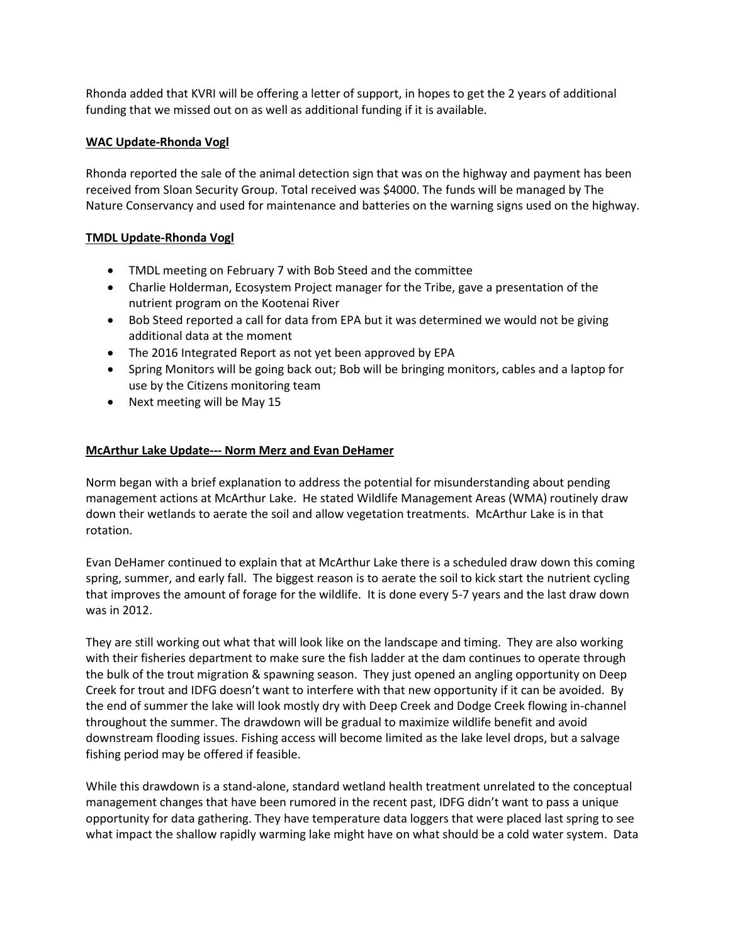Rhonda added that KVRI will be offering a letter of support, in hopes to get the 2 years of additional funding that we missed out on as well as additional funding if it is available.

## **WAC Update-Rhonda Vogl**

Rhonda reported the sale of the animal detection sign that was on the highway and payment has been received from Sloan Security Group. Total received was \$4000. The funds will be managed by The Nature Conservancy and used for maintenance and batteries on the warning signs used on the highway.

# **TMDL Update-Rhonda Vogl**

- TMDL meeting on February 7 with Bob Steed and the committee
- Charlie Holderman, Ecosystem Project manager for the Tribe, gave a presentation of the nutrient program on the Kootenai River
- Bob Steed reported a call for data from EPA but it was determined we would not be giving additional data at the moment
- The 2016 Integrated Report as not yet been approved by EPA
- Spring Monitors will be going back out; Bob will be bringing monitors, cables and a laptop for use by the Citizens monitoring team
- Next meeting will be May 15

# **McArthur Lake Update--- Norm Merz and Evan DeHamer**

Norm began with a brief explanation to address the potential for misunderstanding about pending management actions at McArthur Lake. He stated Wildlife Management Areas (WMA) routinely draw down their wetlands to aerate the soil and allow vegetation treatments. McArthur Lake is in that rotation.

Evan DeHamer continued to explain that at McArthur Lake there is a scheduled draw down this coming spring, summer, and early fall. The biggest reason is to aerate the soil to kick start the nutrient cycling that improves the amount of forage for the wildlife. It is done every 5-7 years and the last draw down was in 2012.

They are still working out what that will look like on the landscape and timing. They are also working with their fisheries department to make sure the fish ladder at the dam continues to operate through the bulk of the trout migration & spawning season. They just opened an angling opportunity on Deep Creek for trout and IDFG doesn't want to interfere with that new opportunity if it can be avoided. By the end of summer the lake will look mostly dry with Deep Creek and Dodge Creek flowing in-channel throughout the summer. The drawdown will be gradual to maximize wildlife benefit and avoid downstream flooding issues. Fishing access will become limited as the lake level drops, but a salvage fishing period may be offered if feasible.

While this drawdown is a stand-alone, standard wetland health treatment unrelated to the conceptual management changes that have been rumored in the recent past, IDFG didn't want to pass a unique opportunity for data gathering. They have temperature data loggers that were placed last spring to see what impact the shallow rapidly warming lake might have on what should be a cold water system. Data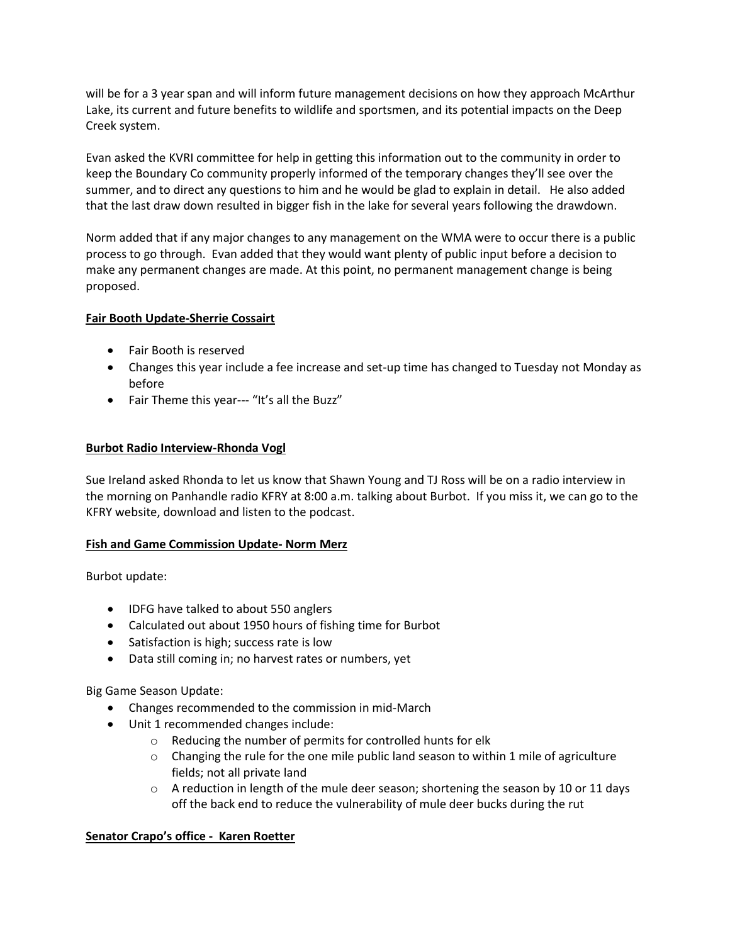will be for a 3 year span and will inform future management decisions on how they approach McArthur Lake, its current and future benefits to wildlife and sportsmen, and its potential impacts on the Deep Creek system.

Evan asked the KVRI committee for help in getting this information out to the community in order to keep the Boundary Co community properly informed of the temporary changes they'll see over the summer, and to direct any questions to him and he would be glad to explain in detail. He also added that the last draw down resulted in bigger fish in the lake for several years following the drawdown.

Norm added that if any major changes to any management on the WMA were to occur there is a public process to go through. Evan added that they would want plenty of public input before a decision to make any permanent changes are made. At this point, no permanent management change is being proposed.

## **Fair Booth Update-Sherrie Cossairt**

- Fair Booth is reserved
- Changes this year include a fee increase and set-up time has changed to Tuesday not Monday as before
- Fair Theme this year--- "It's all the Buzz"

# **Burbot Radio Interview-Rhonda Vogl**

Sue Ireland asked Rhonda to let us know that Shawn Young and TJ Ross will be on a radio interview in the morning on Panhandle radio KFRY at 8:00 a.m. talking about Burbot. If you miss it, we can go to the KFRY website, download and listen to the podcast.

## **Fish and Game Commission Update- Norm Merz**

Burbot update:

- IDFG have talked to about 550 anglers
- Calculated out about 1950 hours of fishing time for Burbot
- Satisfaction is high; success rate is low
- Data still coming in; no harvest rates or numbers, yet

Big Game Season Update:

- Changes recommended to the commission in mid-March
- Unit 1 recommended changes include:
	- o Reducing the number of permits for controlled hunts for elk
	- $\circ$  Changing the rule for the one mile public land season to within 1 mile of agriculture fields; not all private land
	- $\circ$  A reduction in length of the mule deer season; shortening the season by 10 or 11 days off the back end to reduce the vulnerability of mule deer bucks during the rut

# **Senator Crapo's office - Karen Roetter**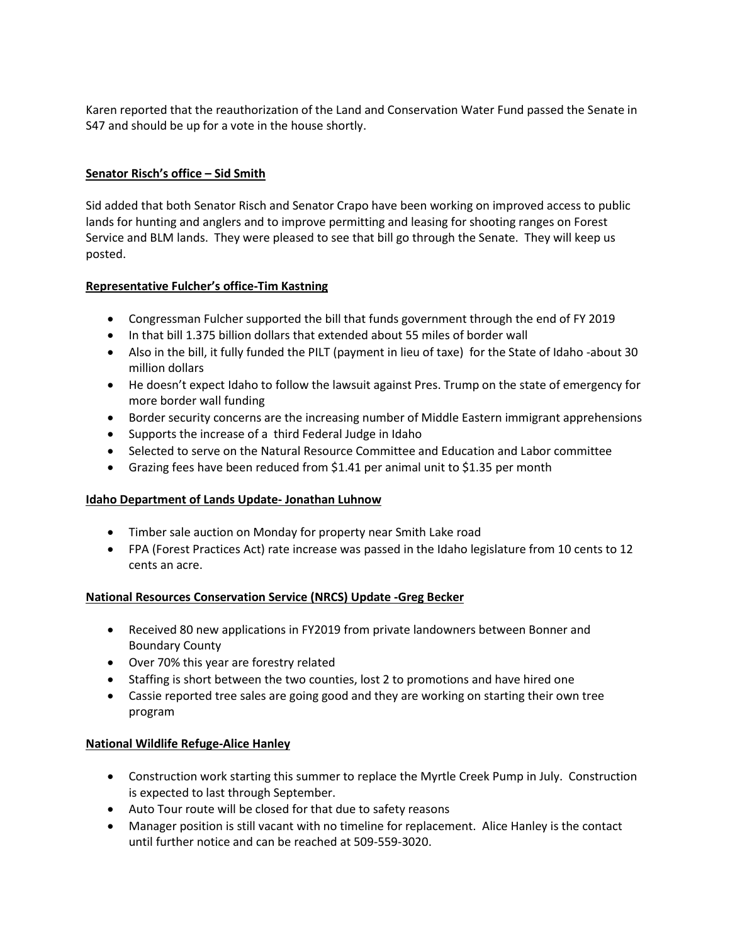Karen reported that the reauthorization of the Land and Conservation Water Fund passed the Senate in S47 and should be up for a vote in the house shortly.

# **Senator Risch's office – Sid Smith**

Sid added that both Senator Risch and Senator Crapo have been working on improved access to public lands for hunting and anglers and to improve permitting and leasing for shooting ranges on Forest Service and BLM lands. They were pleased to see that bill go through the Senate. They will keep us posted.

# **Representative Fulcher's office-Tim Kastning**

- Congressman Fulcher supported the bill that funds government through the end of FY 2019
- In that bill 1.375 billion dollars that extended about 55 miles of border wall
- Also in the bill, it fully funded the PILT (payment in lieu of taxe) for the State of Idaho -about 30 million dollars
- He doesn't expect Idaho to follow the lawsuit against Pres. Trump on the state of emergency for more border wall funding
- Border security concerns are the increasing number of Middle Eastern immigrant apprehensions
- Supports the increase of a third Federal Judge in Idaho
- Selected to serve on the Natural Resource Committee and Education and Labor committee
- Grazing fees have been reduced from \$1.41 per animal unit to \$1.35 per month

# **Idaho Department of Lands Update- Jonathan Luhnow**

- Timber sale auction on Monday for property near Smith Lake road
- FPA (Forest Practices Act) rate increase was passed in the Idaho legislature from 10 cents to 12 cents an acre.

# **National Resources Conservation Service (NRCS) Update -Greg Becker**

- Received 80 new applications in FY2019 from private landowners between Bonner and Boundary County
- Over 70% this year are forestry related
- Staffing is short between the two counties, lost 2 to promotions and have hired one
- Cassie reported tree sales are going good and they are working on starting their own tree program

# **National Wildlife Refuge-Alice Hanley**

- Construction work starting this summer to replace the Myrtle Creek Pump in July. Construction is expected to last through September.
- Auto Tour route will be closed for that due to safety reasons
- Manager position is still vacant with no timeline for replacement. Alice Hanley is the contact until further notice and can be reached at 509-559-3020.